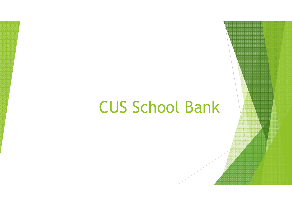## CUS School Bank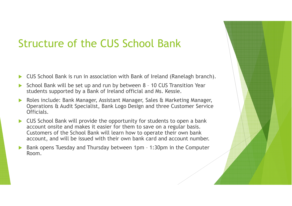## Structure of the CUS School Bank

- $\blacktriangleright$ CUS School Bank is run in association with Bank of Ireland (Ranelagh branch).
- $\blacktriangleright$  School Bank will be set up and run by between 8 – 10 CUS Transition Year students supported by a Bank of Ireland official and Ms. Kessie.
- $\blacktriangleright$  Roles include: Bank Manager, Assistant Manager, Sales & Marketing Manager, Operations & Audit Specialist, Bank Logo Design and three Customer Service Officials.
- $\blacktriangleright$  CUS School Bank will provide the opportunity for students to open a bank account onsite and makes it easier for them to save on a regular basis. Customers of the School Bank will learn how to operate their own bank account, and will be issued with their own bank card and account number.
- $\blacktriangleright$  Bank opens Tuesday and Thursday between 1pm – 1:30pm in the Computer Room.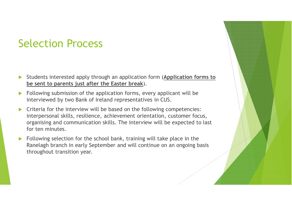## Selection Process

- $\blacktriangleright$  Students interested apply through an application form (**Application forms to be sent to parents just after the Easter break**).
- $\blacktriangleright$  Following submission of the application forms, every applicant will be interviewed by two Bank of Ireland representatives in CUS.
- $\blacktriangleright$  Criteria for the interview will be based on the following competencies: interpersonal skills, resilience, achievement orientation, customer focus, organising and communication skills. The interview will be expected to last for ten minutes.
- $\blacktriangleright$  Following selection for the school bank, training will take place in the Ranelagh branch in early September and will continue on an ongoing basis throughout transition year.